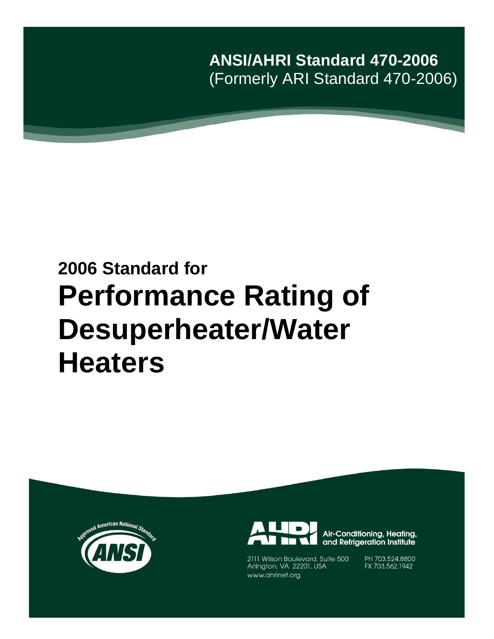**ANSI/AHRI Standard 470-2006** (Formerly ARI Standard 470-2006)

# **2006 Standard for Performance Rating of Desuperheater/Water Heaters**





2111 Wilson Boulevard, Suite 500<br>Arlington, VA 22201, USA www.ahrinet.org

PH 703.524.8800 FX 703.562.1942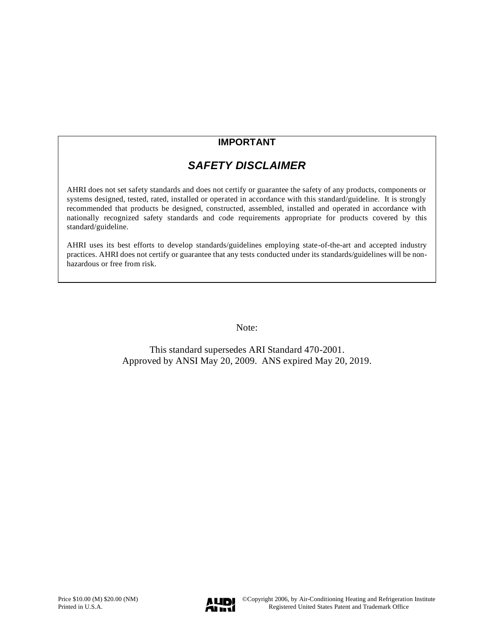### **IMPORTANT**

## *SAFETY DISCLAIMER*

AHRI does not set safety standards and does not certify or guarantee the safety of any products, components or systems designed, tested, rated, installed or operated in accordance with this standard/guideline. It is strongly recommended that products be designed, constructed, assembled, installed and operated in accordance with nationally recognized safety standards and code requirements appropriate for products covered by this standard/guideline.

AHRI uses its best efforts to develop standards/guidelines employing state-of-the-art and accepted industry practices. AHRI does not certify or guarantee that any tests conducted under its standards/guidelines will be nonhazardous or free from risk.

Note:

This standard supersedes ARI Standard 470-2001. Approved by ANSI May 20, 2009. ANS expired May 20, 2019.

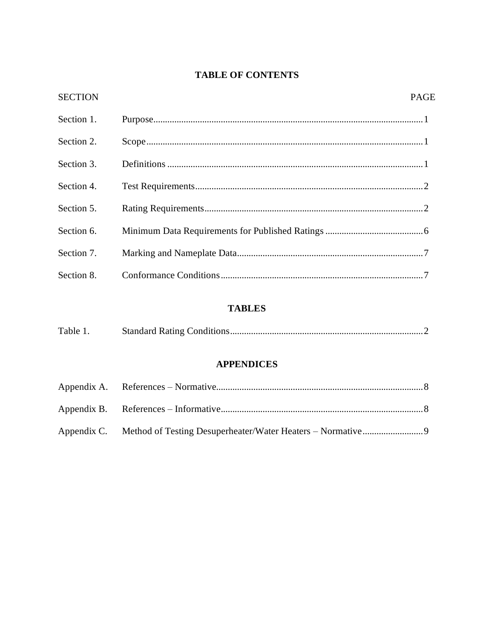### **TABLE OF CONTENTS**

| <b>SECTION</b> | <b>PAGE</b> |
|----------------|-------------|
| Section 1.     |             |
| Section 2.     |             |
| Section 3.     |             |
| Section 4.     |             |
| Section 5.     |             |
| Section 6.     |             |
| Section 7.     |             |
| Section 8.     |             |

### **TABLES**

| Table 1. |  |
|----------|--|
|          |  |

### **APPENDICES**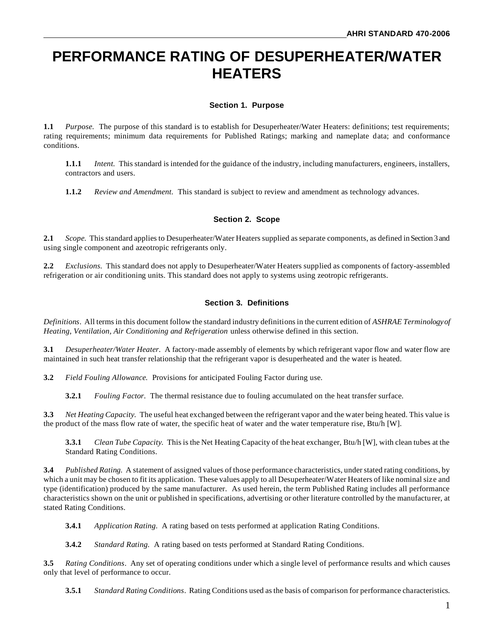# **PERFORMANCE RATING OF DESUPERHEATER/WATER HEATERS**

#### **Section 1. Purpose**

**1.1** *Purpose.* The purpose of this standard is to establish for Desuperheater/Water Heaters: definitions; test requirements; rating requirements; minimum data requirements for Published Ratings; marking and nameplate data; and conformance conditions.

**1.1.1** *Intent.* This standard is intended for the guidance of the industry, including manufacturers, engineers, installers, contractors and users.

**1.1.2** *Review and Amendment.* This standard is subject to review and amendment as technology advances.

#### **Section 2. Scope**

**2.1** *Scope.* This standard applies to Desuperheater/Water Heaters supplied as separate components, as defined in Section 3 and using single component and azeotropic refrigerants only.

**2.2** *Exclusions.* This standard does not apply to Desuperheater/Water Heaters supplied as components of factory-assembled refrigeration or air conditioning units. This standard does not apply to systems using zeotropic refrigerants.

#### **Section 3. Definitions**

*Definitions*. All terms in this document follow the standard industry definitions in the current edition of *ASHRAE Terminology of Heating, Ventilation, Air Conditioning and Refrigeration* unless otherwise defined in this section.

**3.1** *Desuperheater/Water Heater.* A factory-made assembly of elements by which refrigerant vapor flow and water flow are maintained in such heat transfer relationship that the refrigerant vapor is desuperheated and the water is heated.

**3.2** *Field Fouling Allowance.* Provisions for anticipated Fouling Factor during use.

**3.2.1** *Fouling Factor.* The thermal resistance due to fouling accumulated on the heat transfer surface.

**3.3** *Net Heating Capacity.* The useful heat exchanged between the refrigerant vapor and the water being heated. This value is the product of the mass flow rate of water, the specific heat of water and the water temperature rise, Btu/h [W].

**3.3.1** *Clean Tube Capacity.* This is the Net Heating Capacity of the heat exchanger, Btu/h [W], with clean tubes at the Standard Rating Conditions.

**3.4** *Published Rating.* A statement of assigned values of those performance characteristics, under stated rating conditions, by which a unit may be chosen to fit its application. These values apply to all Desuperheater/Water Heaters of like nominal size and type (identification) produced by the same manufacturer. As used herein, the term Published Rating includes all performance characteristics shown on the unit or published in specifications, advertising or other literature controlled by the manufacturer, at stated Rating Conditions.

**3.4.1** *Application Rating.* A rating based on tests performed at application Rating Conditions.

**3.4.2** *Standard Rating.* A rating based on tests performed at Standard Rating Conditions.

**3.5** *Rating Conditions*. Any set of operating conditions under which a single level of performance results and which causes only that level of performance to occur.

**3.5.1** *Standard Rating Conditions*. Rating Conditions used as the basis of comparison for performance characteristics.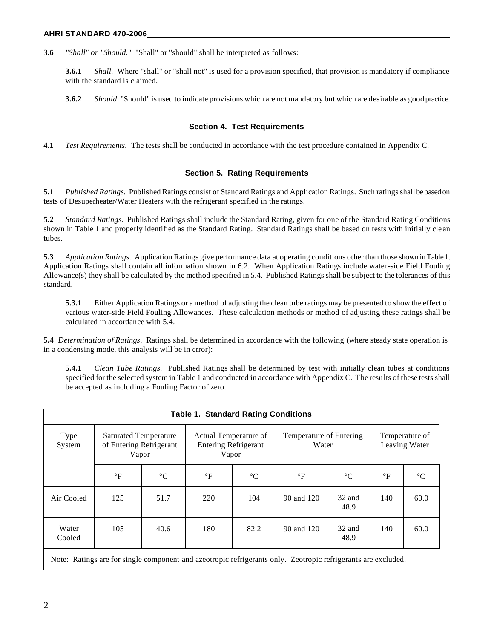**3.6** *"Shall" or "Should."* "Shall" or "should" shall be interpreted as follows:

**3.6.1** *Shall.* Where "shall" or "shall not" is used for a provision specified, that provision is mandatory if compliance with the standard is claimed.

**3.6.2** *Should.* "Should" is used to indicate provisions which are not mandatory but which are desirable as good practice.

#### **Section 4. Test Requirements**

**4.1** *Test Requirements.* The tests shall be conducted in accordance with the test procedure contained in Appendix C.

#### **Section 5. Rating Requirements**

**5.1** *Published Ratings.* Published Ratings consist of Standard Ratings and Application Ratings. Such ratings shall be based on tests of Desuperheater/Water Heaters with the refrigerant specified in the ratings.

**5***.***2** *Standard Ratings.* Published Ratings shall include the Standard Rating, given for one of the Standard Rating Conditions shown in Table 1 and properly identified as the Standard Rating. Standard Ratings shall be based on tests with initially cle an tubes.

**5.3** *Application Ratings.* Application Ratings give performance data at operating conditions other than those shown in Table 1. Application Ratings shall contain all information shown in 6.2. When Application Ratings include water-side Field Fouling Allowance(s) they shall be calculated by the method specified in 5.4. Published Ratings shall be subject to the tolerances of this standard.

**5.3.1** Either Application Ratings or a method of adjusting the clean tube ratings may be presented to show the effect of various water-side Field Fouling Allowances. These calculation methods or method of adjusting these ratings shall be calculated in accordance with 5.4.

**5.4** *Determination of Ratings.* Ratings shall be determined in accordance with the following (where steady state operation is in a condensing mode, this analysis will be in error):

**5.4.1** *Clean Tube Ratings.* Published Ratings shall be determined by test with initially clean tubes at conditions specified for the selected system in Table 1 and conducted in accordance with Appendix C. The results of these tests shall be accepted as including a Fouling Factor of zero.

| <b>Table 1. Standard Rating Conditions</b>                                                                    |                                                                  |                 |                                                               |                 |                                  |                 |                                 |                 |  |  |  |  |
|---------------------------------------------------------------------------------------------------------------|------------------------------------------------------------------|-----------------|---------------------------------------------------------------|-----------------|----------------------------------|-----------------|---------------------------------|-----------------|--|--|--|--|
| Type<br>System                                                                                                | <b>Saturated Temperature</b><br>of Entering Refrigerant<br>Vapor |                 | Actual Temperature of<br><b>Entering Refrigerant</b><br>Vapor |                 | Temperature of Entering<br>Water |                 | Temperature of<br>Leaving Water |                 |  |  |  |  |
|                                                                                                               | $\circ$ F                                                        | $\rm ^{\circ}C$ | $\circ$ F                                                     | $\rm ^{\circ}C$ | $\circ$ F                        | $\rm ^{\circ}C$ | $\circ$ F                       | $\rm ^{\circ}C$ |  |  |  |  |
| Air Cooled                                                                                                    | 125                                                              | 51.7            | 220                                                           | 104             | 90 and 120                       | 32 and<br>48.9  | 140                             | 60.0            |  |  |  |  |
| Water<br>Cooled                                                                                               | 105                                                              | 40.6            | 180                                                           | 82.2            | 90 and 120                       | 32 and<br>48.9  | 140                             | 60.0            |  |  |  |  |
| Note: Ratings are for single component and azeotropic refrigerants only. Zeotropic refrigerants are excluded. |                                                                  |                 |                                                               |                 |                                  |                 |                                 |                 |  |  |  |  |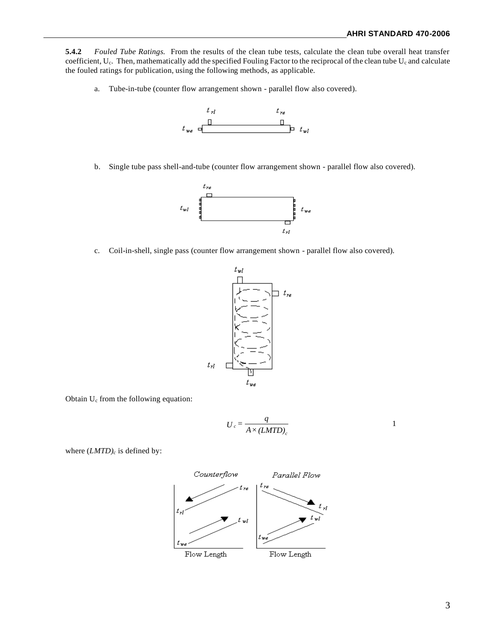**5.4.2** *Fouled Tube Ratings.* From the results of the clean tube tests, calculate the clean tube overall heat transfer coefficient,  $U_c$ . Then, mathematically add the specified Fouling Factor to the reciprocal of the clean tube  $U_c$  and calculate the fouled ratings for publication, using the following methods, as applicable.

a. Tube-in-tube (counter flow arrangement shown - parallel flow also covered).



b. Single tube pass shell-and-tube (counter flow arrangement shown - parallel flow also covered).



c. Coil-in-shell, single pass (counter flow arrangement shown - parallel flow also covered).



Obtain U<sup>c</sup> from the following equation:

$$
U_c = \frac{q}{A \times (LMTD)_c}
$$

where (*LMTD)<sup>c</sup>* is defined by:

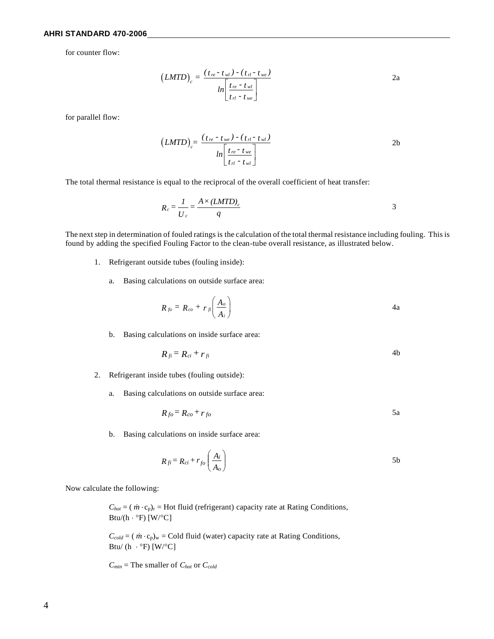#### **AHRI STANDARD 470-2006**

for counter flow:

$$
\left(LMTD\right)_c = \frac{\left(t_{re} - t_{wl}\right) - \left(t_{rl} - t_{we}\right)}{\ln\left[\frac{t_{re} - t_{wl}}{t_{rl} - t_{we}}\right]}
$$
 2a

for parallel flow:

$$
\left(LMTD\right)_{c} = \frac{\left(t_{re} - t_{we}\right) - \left(t_{rl} - t_{wl}\right)}{\ln\left[\frac{t_{re} - t_{we}}{t_{rl} - t_{wl}}\right]}
$$
2b

The total thermal resistance is equal to the reciprocal of the overall coefficient of heat transfer:

$$
R_c = \frac{1}{U_c} = \frac{A \times (LMTD)_c}{q}
$$

The next step in determination of fouled ratings is the calculation of the total thermal resistance including fouling. This is found by adding the specified Fouling Factor to the clean-tube overall resistance, as illustrated below.

- 1. Refrigerant outside tubes (fouling inside):
	- a. Basing calculations on outside surface area:

$$
R_{fo} = R_{co} + r_{flo} \left( \frac{A_o}{A_i} \right) \tag{4a}
$$

b. Basing calculations on inside surface area:

$$
R_{fi} = R_{ci} + r_{fi} \tag{4b}
$$

- 2. Refrigerant inside tubes (fouling outside):
	- a. Basing calculations on outside surface area:

$$
R_{fo} = R_{co} + r_{fo} \tag{5a}
$$

b. Basing calculations on inside surface area:

$$
R_{fi} = R_{ci} + r_{fo} \left(\frac{A_i}{A_o}\right) \tag{5b}
$$

Now calculate the following:

 $C_{hot} = (m \cdot c_p)_r$  = Hot fluid (refrigerant) capacity rate at Rating Conditions, Btu/(h  $\cdot$  °F) [W/°C]

 $C_{cold} = (m \cdot c_p)_w =$ Cold fluid (water) capacity rate at Rating Conditions, Btu/ (h  $\cdot$  °F) [W/°C]

 $C_{min}$  = The smaller of  $C_{hot}$  or  $C_{cold}$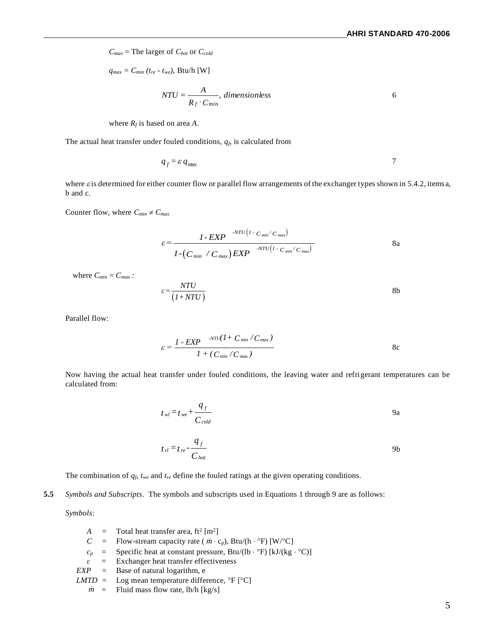*Cmax* = The larger of *Chot* or *Ccold*

 $q_{max} = C_{min} (t_{re} - t_{we}),$  Btu/h [W]

$$
NTU = \frac{A}{R_f \cdot C_{min}}, dimensionless
$$

where  $R_f$  is based on area A.

The actual heat transfer under fouled conditions, *qf*, is calculated from

$$
q_f = \varepsilon \, q_{\text{max}} \tag{7}
$$

where  $\varepsilon$  is determined for either counter flow or parallel flow arrangements of the exchanger types shown in 5.4.2, items a, b and c.

Counter flow, where  $C_{min} \neq C_{max}$ 

$$
\varepsilon = \frac{1 - EXP^{-.NTU(1 - C_{min} / C_{max})}}{1 - (C_{min} / C_{max}) EXP^{-.NTU(1 - C_{min} / C_{max})}}
$$
8a

where  $C_{min} = C_{max}$ :

$$
\varepsilon = \frac{NTU}{(1+NTU)}\tag{8b}
$$

Parallel flow:

$$
\varepsilon = \frac{I - EXP^{-NTU}(I + C_{min} / C_{max})}{I + (C_{min} / C_{max})}
$$
8c

Now having the actual heat transfer under fouled conditions, the leaving water and refrigerant temperatures can be calculated from:

$$
t_{wl} = t_{we} + \frac{q_f}{C_{cold}}
$$
9a

$$
t_{rl} = t_{re} - \frac{q_f}{C_{hot}}
$$
9b

The combination of *qf*, *twe* and *tre* define the fouled ratings at the given operating conditions.

**5.5** *Symbols and Subscripts*. The symbols and subscripts used in Equations 1 through 9 are as follows:

*Symbols*:

- $A =$  Total heat transfer area, ft<sup>2</sup> [m<sup>2</sup>]  $C =$  Flow-stream capacity rate ( $\dot{m} \cdot c_p$ ), Btu/(h · °F) [W/°C]  $c_p$  = Specific heat at constant pressure, Btu/(lb  $\cdot$  °F) [kJ/(kg  $\cdot$  °C)]  $\epsilon$  = Exchanger heat transfer effectiveness<br>*EXP* = Base of natural logarithm, e
- *EXP =* Base of natural logarithm, e

$$
LMTD = Log mean temperature difference, \,^{\circ}F [^{\circ}C]
$$

 $\dot{m}$  = Fluid mass flow rate, lb/h [kg/s]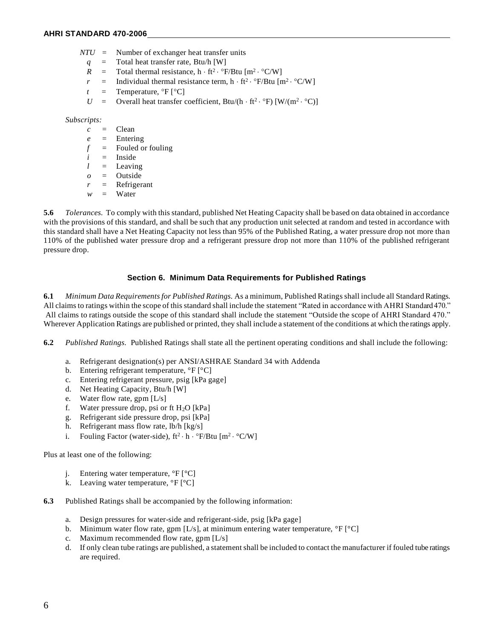- *NTU =* Number of exchanger heat transfer units
	- *q* = Total heat transfer rate, Btu/h [W]
	- $R =$  Total thermal resistance,  $h \cdot ft^2 \cdot \text{P/B}$ tu  $[m^2 \cdot \text{C/W}]$
	- $r =$  Individual thermal resistance term, h · ft<sup>2</sup> · °F/Btu [m<sup>2</sup> · °C/W]
	- $t =$  Temperature,  ${}^{\circ}F$   $[{}^{\circ}C]$
	- $U =$  Overall heat transfer coefficient, Btu/(h · ft<sup>2</sup> · °F) [W/(m<sup>2</sup> · °C)]

#### *Subscripts:*

- *c =* Clean
- *e =* Entering
- *f =* Fouled or fouling
- *i =* Inside
- *l =* Leaving
- *o =* Outside
- *r =* Refrigerant
- *w =* Water

**5.6** *Tolerances.* To comply with this standard, published Net Heating Capacity shall be based on data obtained in accordance with the provisions of this standard, and shall be such that any production unit selected at random and tested in accordance with this standard shall have a Net Heating Capacity not less than 95% of the Published Rating, a water pressure drop not more than 110% of the published water pressure drop and a refrigerant pressure drop not more than 110% of the published refrigerant pressure drop.

#### **Section 6. Minimum Data Requirements for Published Ratings**

**6.1** *Minimum Data Requirements for Published Ratings.* As a minimum, Published Ratings shall include all Standard Ratings. All claims to ratings within the scope of this standard shall include the statement "Rated in accordance with AHRI Standard 470." All claims to ratings outside the scope of this standard shall include the statement "Outside the scope of AHRI Standard 470." Wherever Application Ratings are published or printed, they shall include a statement of the conditions at which the ratings apply.

**6.2** *Published Ratings.* Published Ratings shall state all the pertinent operating conditions and shall include the following:

- a. Refrigerant designation(s) per ANSI/ASHRAE Standard 34 with Addenda
- b. Entering refrigerant temperature,  ${}^{\circ}$ F  ${}^{\circ}$ C]
- c. Entering refrigerant pressure, psig [kPa gage]
- d. Net Heating Capacity, Btu/h [W]
- e. Water flow rate, gpm [L/s]
- f. Water pressure drop, psi or ft  $H_2O$  [kPa]
- g. Refrigerant side pressure drop, psi [kPa]
- h. Refrigerant mass flow rate, lb/h [kg/s]
- i. Fouling Factor (water-side),  $ft^2 \cdot h \cdot {}^\circ F/Bt u$  [m<sup>2</sup> ·  ${}^\circ C/W$ ]

Plus at least one of the following:

- j. Entering water temperature,  ${}^{\circ}$ F  $[{}^{\circ}$ C]
- k. Leaving water temperature,  ${}^{\circ}$ F  $[{}^{\circ}$ C]
- **6.3** Published Ratings shall be accompanied by the following information:
	- a. Design pressures for water-side and refrigerant-side, psig [kPa gage]
	- b. Minimum water flow rate, gpm  $[L/s]$ , at minimum entering water temperature,  ${}^{\circ}F$   ${}^{\circ}C$ ]
	- c. Maximum recommended flow rate, gpm [L/s]
	- d. If only clean tube ratings are published, a statement shall be included to contact the manufacturer if fouled tube ratings are required.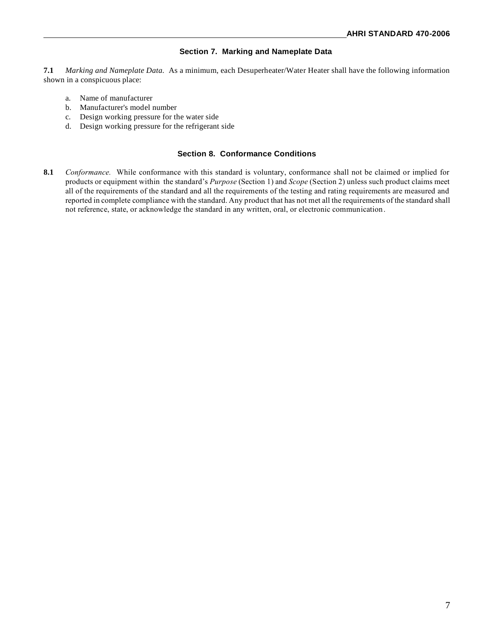#### **Section 7. Marking and Nameplate Data**

**7.1** *Marking and Nameplate Data.* As a minimum, each Desuperheater/Water Heater shall have the following information shown in a conspicuous place:

- a. Name of manufacturer
- b. Manufacturer's model number
- c. Design working pressure for the water side
- d. Design working pressure for the refrigerant side

#### **Section 8. Conformance Conditions**

**8.1** *Conformance.* While conformance with this standard is voluntary, conformance shall not be claimed or implied for products or equipment within the standard's *Purpose* (Section 1) and *Scope* (Section 2) unless such product claims meet all of the requirements of the standard and all the requirements of the testing and rating requirements are measured and reported in complete compliance with the standard. Any product that has not met all the requirements of the standard shall not reference, state, or acknowledge the standard in any written, oral, or electronic communication.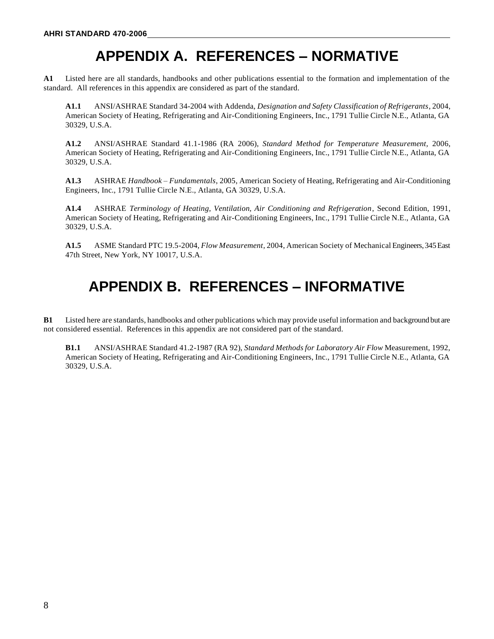# **APPENDIX A. REFERENCES – NORMATIVE**

**A1** Listed here are all standards, handbooks and other publications essential to the formation and implementation of the standard. All references in this appendix are considered as part of the standard.

**A1.1** ANSI/ASHRAE Standard 34-2004 with Addenda, *Designation and Safety Classification of Refrigerants,* 2004, American Society of Heating, Refrigerating and Air-Conditioning Engineers, Inc., 1791 Tullie Circle N.E., Atlanta, GA 30329, U.S.A.

**A1.2** ANSI/ASHRAE Standard 41.1-1986 (RA 2006), *Standard Method for Temperature Measurement,* 2006, American Society of Heating, Refrigerating and Air-Conditioning Engineers, Inc., 1791 Tullie Circle N.E., Atlanta, GA 30329, U.S.A.

**A1.3** ASHRAE *Handbook – Fundamentals*, 2005, American Society of Heating, Refrigerating and Air-Conditioning Engineers, Inc., 1791 Tullie Circle N.E., Atlanta, GA 30329, U.S.A.

**A1.4** ASHRAE *Terminology of Heating, Ventilation, Air Conditioning and Refrigeration*, Second Edition, 1991, American Society of Heating, Refrigerating and Air-Conditioning Engineers, Inc., 1791 Tullie Circle N.E., Atlanta, GA 30329, U.S.A.

**A1.5** ASME Standard PTC 19.5-2004, *Flow Measurement,* 2004, American Society of Mechanical Engineers, 345 East 47th Street, New York, NY 10017, U.S.A.

# **APPENDIX B. REFERENCES – INFORMATIVE**

**B1** Listed here are standards, handbooks and other publications which may provide useful information and background but are not considered essential. References in this appendix are not considered part of the standard.

**B1.1** ANSI/ASHRAE Standard 41.2-1987 (RA 92), *Standard Methods for Laboratory Air Flow* Measurement, 1992, American Society of Heating, Refrigerating and Air-Conditioning Engineers, Inc., 1791 Tullie Circle N.E., Atlanta, GA 30329, U.S.A.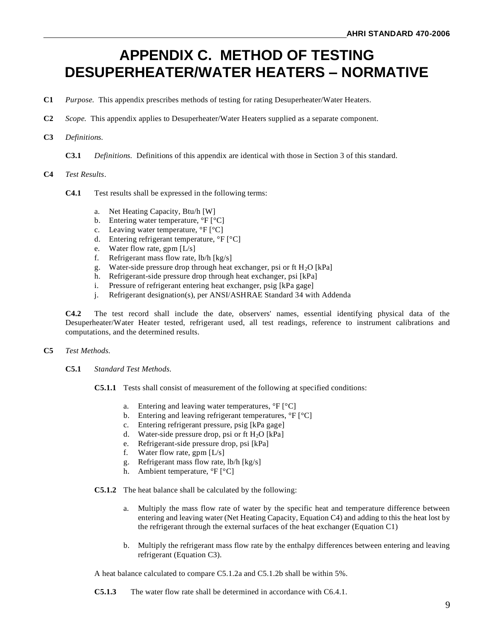# **APPENDIX C. METHOD OF TESTING DESUPERHEATER/WATER HEATERS – NORMATIVE**

- **C1** *Purpose.* This appendix prescribes methods of testing for rating Desuperheater/Water Heaters.
- **C2** *Scope.* This appendix applies to Desuperheater/Water Heaters supplied as a separate component.

#### **C3** *Definitions.*

**C3.1** *Definitions.* Definitions of this appendix are identical with those in Section 3 of this standard.

#### **C4** *Test Results*.

- **C4.1** Test results shall be expressed in the following terms:
	- a. Net Heating Capacity, Btu/h [W]
	- b. Entering water temperature,  ${}^{\circ}F$   ${}^{\circ}C$ ]
	- c. Leaving water temperature,  ${}^{\circ}$ F  ${}^{\circ}$ C]
	- d. Entering refrigerant temperature, °F [°C]
	- e. Water flow rate, gpm [L/s]
	- f. Refrigerant mass flow rate, lb/h [kg/s]
	- g. Water-side pressure drop through heat exchanger, psi or ft  $H_2O$  [kPa]
	- h. Refrigerant-side pressure drop through heat exchanger, psi [kPa]
	- i. Pressure of refrigerant entering heat exchanger, psig [kPa gage]
	- j. Refrigerant designation(s), per ANSI/ASHRAE Standard 34 with Addenda

**C4.2** The test record shall include the date, observers' names, essential identifying physical data of the Desuperheater/Water Heater tested, refrigerant used, all test readings, reference to instrument calibrations and computations, and the determined results.

#### **C5** *Test Methods.*

**C5.1** *Standard Test Methods.*

**C5.1.1** Tests shall consist of measurement of the following at specified conditions:

- a. Entering and leaving water temperatures,  ${}^{\circ}F$   ${}^{\circ}C$ ]
- b. Entering and leaving refrigerant temperatures,  ${}^{\circ}F$   $[{}^{\circ}C]$
- c. Entering refrigerant pressure, psig [kPa gage]
- d. Water-side pressure drop, psi or ft  $H_2O$  [kPa]
- e. Refrigerant-side pressure drop, psi [kPa]
- f. Water flow rate, gpm [L/s]
- g. Refrigerant mass flow rate, lb/h [kg/s]
- h. Ambient temperature, °F [°C]
- **C5.1.2** The heat balance shall be calculated by the following:
	- a. Multiply the mass flow rate of water by the specific heat and temperature difference between entering and leaving water (Net Heating Capacity, Equation C4) and adding to this the heat lost by the refrigerant through the external surfaces of the heat exchanger (Equation C1)
	- b. Multiply the refrigerant mass flow rate by the enthalpy differences between entering and leaving refrigerant (Equation C3).

A heat balance calculated to compare C5.1.2a and C5.1.2b shall be within 5%.

**C5.1.3** The water flow rate shall be determined in accordance with C6.4.1.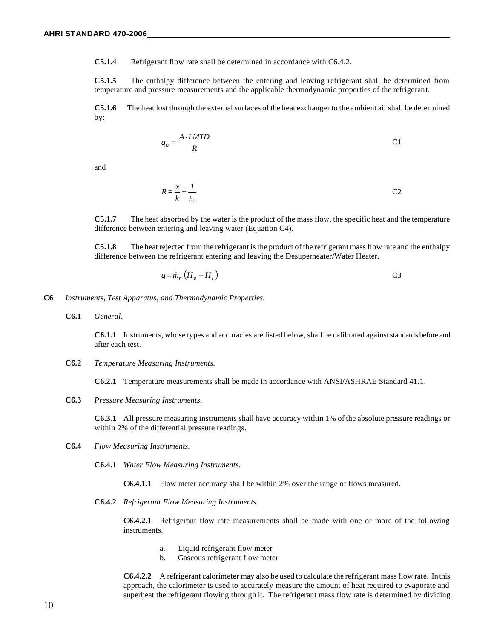**C5.1.4** Refrigerant flow rate shall be determined in accordance with C6.4.2.

**C5.1.5** The enthalpy difference between the entering and leaving refrigerant shall be determined from temperature and pressure measurements and the applicable thermodynamic properties of the refrigerant.

**C5.1.6** The heat lost through the external surfaces of the heat exchanger to the ambient air shall be determined by:

$$
q_o = \frac{A \cdot LMTD}{R}
$$
 C1

and

$$
R = \frac{x}{k} + \frac{1}{h_s}
$$
 C2

**C5.1.7** The heat absorbed by the water is the product of the mass flow, the specific heat and the temperature difference between entering and leaving water (Equation C4).

**C5.1.8** The heat rejected from the refrigerant is the product of the refrigerant mass flow rate and the enthalpy difference between the refrigerant entering and leaving the Desuperheater/Water Heater.

$$
q = \dot{m}_r \left( H_e - H_l \right) \tag{C3}
$$

- **C6** *Instruments, Test Apparatus, and Thermodynamic Properties.*
	- **C6.1** *General*.

**C6.1.1** Instruments, whose types and accuracies are listed below, shall be calibrated against standards before and after each test.

**C6.2** *Temperature Measuring Instruments.*

**C6.2.1** Temperature measurements shall be made in accordance with ANSI/ASHRAE Standard 41.1.

**C6.3** *Pressure Measuring Instruments.*

**C6.3.1** All pressure measuring instruments shall have accuracy within 1% of the absolute pressure readings or within 2% of the differential pressure readings.

- **C6.4** *Flow Measuring Instruments.*
	- **C6.4.1** *Water Flow Measuring Instruments.*

**C6.4.1.1** Flow meter accuracy shall be within 2% over the range of flows measured.

**C6.4.2** *Refrigerant Flow Measuring Instruments.*

**C6.4.2.1** Refrigerant flow rate measurements shall be made with one or more of the following instruments.

- a. Liquid refrigerant flow meter
- b. Gaseous refrigerant flow meter

**C6.4.2.2** A refrigerant calorimeter may also be used to calculate the refrigerant mass flow rate. In this approach, the calorimeter is used to accurately measure the amount of heat required to evaporate and superheat the refrigerant flowing through it. The refrigerant mass flow rate is determined by dividing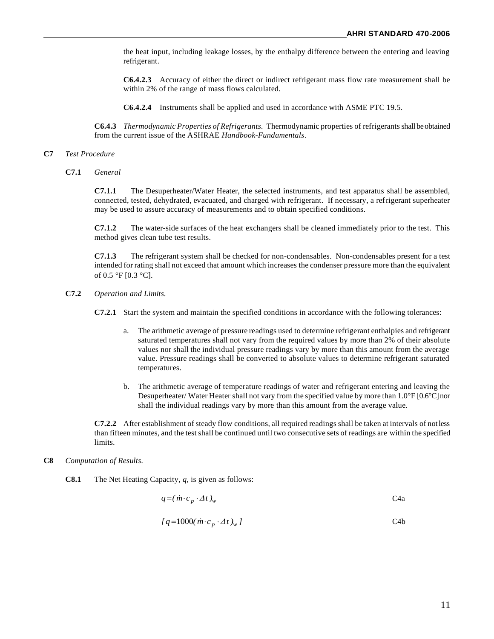the heat input, including leakage losses, by the enthalpy difference between the entering and leaving refrigerant.

**C6.4.2.3** Accuracy of either the direct or indirect refrigerant mass flow rate measurement shall be within 2% of the range of mass flows calculated.

**C6.4.2.4** Instruments shall be applied and used in accordance with ASME PTC 19.5.

**C6.4.3** *Thermodynamic Properties of Refrigerants.* Thermodynamic properties of refrigerants shall be obtained from the current issue of the ASHRAE *Handbook-Fundamentals*.

#### **C7** *Test Procedure*

**C7.1** *General*

**C7.1.1** The Desuperheater/Water Heater, the selected instruments, and test apparatus shall be assembled, connected, tested, dehydrated, evacuated, and charged with refrigerant. If necessary, a refrigerant superheater may be used to assure accuracy of measurements and to obtain specified conditions.

**C7.1.2** The water-side surfaces of the heat exchangers shall be cleaned immediately prior to the test. This method gives clean tube test results.

**C7.1.3** The refrigerant system shall be checked for non-condensables. Non-condensables present for a test intended for rating shall not exceed that amount which increases the condenser pressure more than the equivalent of 0.5 °F [0.3 °C].

**C7.2** *Operation and Limits.*

**C7.2.1** Start the system and maintain the specified conditions in accordance with the following tolerances:

- a. The arithmetic average of pressure readings used to determine refrigerant enthalpies and refrigerant saturated temperatures shall not vary from the required values by more than 2% of their absolute values nor shall the individual pressure readings vary by more than this amount from the average value. Pressure readings shall be converted to absolute values to determine refrigerant saturated temperatures.
- b. The arithmetic average of temperature readings of water and refrigerant entering and leaving the Desuperheater/ Water Heater shall not vary from the specified value by more than 1.0°F [0.6°C] nor shall the individual readings vary by more than this amount from the average value.

**C7.2.2** After establishment of steady flow conditions, all required readings shall be taken at intervals of not less than fifteen minutes, and the test shall be continued until two consecutive sets of readings are within the specified limits.

#### **C8** *Computation of Results.*

**C8.1** The Net Heating Capacity, *q*, is given as follows:

$$
q = (\dot{m} \cdot c_p \cdot \Delta t)_w
$$
 C4a

$$
[q=1000(\dot{m}\cdot c_p\cdot\varDelta t)_w]
$$
 C4b